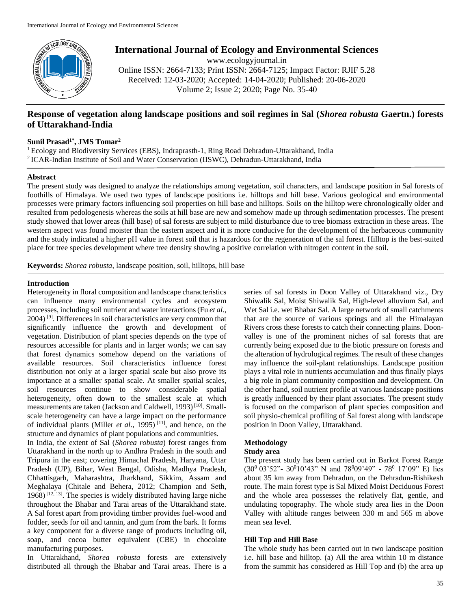

**International Journal of Ecology and Environmental Sciences**

www.ecologyjournal.in Online ISSN: 2664-7133; Print ISSN: 2664-7125; Impact Factor: RJIF 5.28 Received: 12-03-2020; Accepted: 14-04-2020; Published: 20-06-2020 Volume 2; Issue 2; 2020; Page No. 35-40

# **Response of vegetation along landscape positions and soil regimes in Sal (***Shorea robusta* **Gaertn.) forests of Uttarakhand-India**

### **Sunil Prasad1\*, JMS Tomar<sup>2</sup>**

<sup>1</sup> Ecology and Biodiversity Services (EBS), Indraprasth-1, Ring Road Dehradun-Uttarakhand, India 2 ICAR-Indian Institute of Soil and Water Conservation (IISWC), Dehradun-Uttarakhand, India

### **Abstract**

The present study was designed to analyze the relationships among vegetation, soil characters, and landscape position in Sal forests of foothills of Himalaya. We used two types of landscape positions i.e. hilltops and hill base. Various geological and environmental processes were primary factors influencing soil properties on hill base and hilltops. Soils on the hilltop were chronologically older and resulted from pedologenesis whereas the soils at hill base are new and somehow made up through sedimentation processes. The present study showed that lower areas (hill base) of sal forests are subject to mild disturbance due to tree biomass extraction in these areas. The western aspect was found moister than the eastern aspect and it is more conducive for the development of the herbaceous community and the study indicated a higher pH value in forest soil that is hazardous for the regeneration of the sal forest. Hilltop is the best-suited place for tree species development where tree density showing a positive correlation with nitrogen content in the soil.

**Keywords:** *Shorea robusta*, landscape position, soil, hilltops, hill base

### **Introduction**

Heterogeneity in floral composition and landscape characteristics can influence many environmental cycles and ecosystem processes, including soil nutrient and water interactions (Fu *et al.*, 2004) [9]. Differences in soil characteristics are very common that significantly influence the growth and development of vegetation. Distribution of plant species depends on the type of resources accessible for plants and in larger words; we can say that forest dynamics somehow depend on the variations of available resources. Soil characteristics influence forest distribution not only at a larger spatial scale but also prove its importance at a smaller spatial scale. At smaller spatial scales, soil resources continue to show considerable spatial heterogeneity, often down to the smallest scale at which measurements are taken (Jackson and Caldwell, 1993)<sup>[10]</sup>. Smallscale heterogeneity can have a large impact on the performance of individual plants (Miller *et al.*, 1995) [11], and hence, on the structure and dynamics of plant populations and communities.

In India, the extent of Sal (*Shorea robusta*) forest ranges from Uttarakhand in the north up to Andhra Pradesh in the south and Tripura in the east; covering Himachal Pradesh, Haryana, Uttar Pradesh (UP), Bihar, West Bengal, Odisha, Madhya Pradesh, Chhattisgarh, Maharashtra, Jharkhand, Sikkim, Assam and Meghalaya (Chitale and Behera, 2012; Champion and Seth,  $1968$ )<sup>[12, 13]</sup>. The species is widely distributed having large niche throughout the Bhabar and Tarai areas of the Uttarakhand state. A Sal forest apart from providing timber provides fuel-wood and fodder, seeds for oil and tannin, and gum from the bark. It forms a key component for a diverse range of products including oil, soap, and cocoa butter equivalent (CBE) in chocolate manufacturing purposes.

In Uttarakhand, *Shorea robusta* forests are extensively distributed all through the Bhabar and Tarai areas. There is a

series of sal forests in Doon Valley of Uttarakhand viz., Dry Shiwalik Sal, Moist Shiwalik Sal, High-level alluvium Sal, and Wet Sal i.e. wet Bhabar Sal. A large network of small catchments that are the source of various springs and all the Himalayan Rivers cross these forests to catch their connecting plains. Doonvalley is one of the prominent niches of sal forests that are currently being exposed due to the biotic pressure on forests and the alteration of hydrological regimes. The result of these changes may influence the soil-plant relationships. Landscape position plays a vital role in nutrients accumulation and thus finally plays a big role in plant community composition and development. On the other hand, soil nutrient profile at various landscape positions is greatly influenced by their plant associates. The present study is focused on the comparison of plant species composition and soil physio-chemical profiling of Sal forest along with landscape position in Doon Valley, Uttarakhand.

## **Methodology**

### **Study area**

The present study has been carried out in Barkot Forest Range  $(30^0\ 03'52" - 30^0\ 10'43"$  N and  $78^0\ 09'49" - 78^0\ 17'09"$  E) lies about 35 km away from Dehradun, on the Dehradun-Rishikesh route. The main forest type is Sal Mixed Moist Deciduous Forest and the whole area possesses the relatively flat, gentle, and undulating topography. The whole study area lies in the Doon Valley with altitude ranges between 330 m and 565 m above mean sea level.

## **Hill Top and Hill Base**

The whole study has been carried out in two landscape position i.e. hill base and hilltop. (a) All the area within 10 m distance from the summit has considered as Hill Top and (b) the area up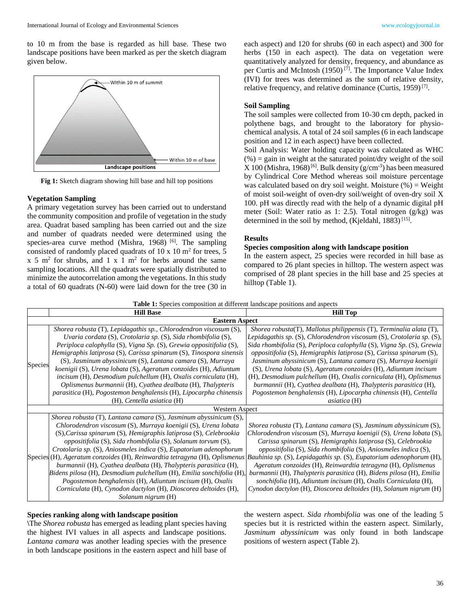

**Fig 1:** Sketch diagram showing hill base and hill top positions

### **Vegetation Sampling**

A primary vegetation survey has been carried out to understand the community composition and profile of vegetation in the study area. Quadrat based sampling has been carried out and the size and number of quadrats needed were determined using the species-area curve method (Mishra, 1968)  $[6]$ . The sampling consisted of randomly placed quadrats of  $10 \times 10 \text{ m}^2$  for trees, 5  $x \cdot 5$  m<sup>2</sup> for shrubs, and 1 x 1 m<sup>2</sup> for herbs around the same sampling locations. All the quadrats were spatially distributed to minimize the autocorrelation among the vegetations. In this study a total of 60 quadrats (N-60) were laid down for the tree (30 in each aspect) and 120 for shrubs (60 in each aspect) and 300 for herbs (150 in each aspect). The data on vegetation were quantitatively analyzed for density, frequency, and abundance as per Curtis and McIntosh (1950) [7]. The Importance Value Index (IVI) for trees was determined as the sum of relative density, relative frequency, and relative dominance (Curtis, 1959)<sup>[7]</sup>.

### **Soil Sampling**

The soil samples were collected from 10-30 cm depth, packed in polythene bags, and brought to the laboratory for physiochemical analysis. A total of 24 soil samples (6 in each landscape position and 12 in each aspect) have been collected.

Soil Analysis: Water holding capacity was calculated as WHC  $(\%)$  = gain in weight at the saturated point/dry weight of the soil  $X 100$  (Mishra, 1968)<sup>[6]</sup>. Bulk density ( $g/cm^{-3}$ ) has been measured by Cylindrical Core Method whereas soil moisture percentage was calculated based on dry soil weight. Moisture  $(\%)$  = Weight of moist soil-weight of oven-dry soil/weight of oven-dry soil X 100. pH was directly read with the help of a dynamic digital pH meter (Soil: Water ratio as 1: 2.5). Total nitrogen (g/kg) was determined in the soil by method, (Kjeldahl, 1883)<sup>[15]</sup>.

### **Results**

### **Species composition along with landscape position**

In the eastern aspect, 25 species were recorded in hill base as compared to 26 plant species in hilltop. The western aspect was comprised of 28 plant species in the hill base and 25 species at hilltop (Table 1).

**Table 1:** Species composition at different landscape positions and aspects

|                       | <b>Hill Base</b>                                                                    | <b>Hill Top</b>                                                                |  |  |  |
|-----------------------|-------------------------------------------------------------------------------------|--------------------------------------------------------------------------------|--|--|--|
| <b>Eastern Aspect</b> |                                                                                     |                                                                                |  |  |  |
| Species               | Shorea robusta (T), Lepidagathis sp., Chlorodendron viscosum (S),                   | Shorea robusta $(T)$ , Mallotus philippensis $(T)$ , Terminalia alata $(T)$ ,  |  |  |  |
|                       | Uvaria cordata (S), Crotolaria sp. (S), Sida rhombifolia (S),                       | Lepidagathis sp. $(S)$ , Chlorodendron viscosum $(S)$ , Crotolaria sp. $(S)$ , |  |  |  |
|                       | Periploca calophylla (S), Vigna Sp. (S), Grewia oppositifolia (S),                  | Sida rhombifolia (S), Periploca calophylla (S), Vigna Sp. (S), Grewia          |  |  |  |
|                       | Hemigraphis latiprosa (S), Carissa spinarum (S), Tinospora sinensis                 | oppositifolia (S), Hemigraphis latiprosa (S), Carissa spinarum (S),            |  |  |  |
|                       | (S), Jasminum abyssinicum (S), Lantana camara (S), Murraya                          | Jasminum abyssinicum (S), Lantana camara (S), Murraya koenigii                 |  |  |  |
|                       | koenigii (S), Urena lobata (S), Ageratum conzoides (H), Adiuntum                    | (S), Urena lobata (S), Ageratum conzoides (H), Adiuntum incisum                |  |  |  |
|                       | incisum (H), Desmodium pulchellum (H), Oxalis corniculata (H),                      | (H), Desmodium pulchellum (H), Oxalis corniculata (H), Oplismenus              |  |  |  |
|                       | Oplismenus burmannii (H), Cyathea dealbata (H), Thalypteris                         | burmannii (H), Cyathea dealbata (H), Thalypteris parasitica (H),               |  |  |  |
|                       | parasitica (H), Pogostemon benghalensis (H), Lipocarpha chinensis                   | Pogostemon benghalensis (H), Lipocarpha chinensis (H), Centella                |  |  |  |
|                       | (H), Centella asiatica (H)                                                          | <i>asiatica</i> (H)                                                            |  |  |  |
| Western Aspect        |                                                                                     |                                                                                |  |  |  |
|                       | Shorea robusta (T), Lantana camara (S), Jasminum abyssinicum (S),                   |                                                                                |  |  |  |
|                       | Chlorodendron viscosum (S), Murraya koenigii (S), Urena lobata                      | Shorea robusta $(T)$ , Lantana camara $(S)$ , Jasminum abyssinicum $(S)$ ,     |  |  |  |
|                       | (S), Carissa spinarum (S), Hemigraphis latiprosa (S), Celebrookia                   | Chlorodendron viscosum (S), Murraya koenigii (S), Urena lobata (S),            |  |  |  |
|                       | oppositifolia (S), Sida rhombifolia (S), Solanum torvum (S),                        | Carissa spinarum (S), Hemigraphis latiprosa (S), Celebrookia                   |  |  |  |
|                       | Crotolaria sp. (S), Aniosmeles indica (S), Eupatorium adenophorum                   | oppositifolia (S), Sida rhombifolia (S), Aniosmeles indica (S),                |  |  |  |
|                       | $\text{Species}(H)$ , Ageratum conzoides (H), Reinwardtia tetragyna (H), Oplismenus | Bauhinia sp. $(S)$ , Lepidagathis sp. $(S)$ , Eupatorium adenophorum $(H)$ ,   |  |  |  |
|                       | burmannii (H), Cyathea dealbata (H), Thalypteris parasitica (H),                    | Ageratum conzoides (H), Reinwardtia tetragyna (H), Oplismenus                  |  |  |  |
|                       | Bidens pilosa (H), Desmodium pulchellum (H), Emilia sonchifolia (H),                | burmannii (H), Thalypteris parasitica (H), Bidens pilosa (H), Emilia           |  |  |  |
|                       | Pogostemon benghalensis (H), Adiuntum incisum (H), Oxalis                           | sonchifolia (H), Adiuntum incisum (H), Oxalis Corniculata (H),                 |  |  |  |
|                       | Corniculata (H), Cynodon dactylon (H), Dioscorea deltoides (H),                     | Cynodon dactylon (H), Dioscorea deltoides (H), Solanum nigrum (H)              |  |  |  |
|                       | Solanum nigrum (H)                                                                  |                                                                                |  |  |  |

#### **Species ranking along with landscape position**

**\**The *Shorea robusta* has emerged as leading plant species having the highest IVI values in all aspects and landscape positions. *Lantana camara* was another leading species with the presence in both landscape positions in the eastern aspect and hill base of the western aspect. *Sida rhombifolia* was one of the leading 5 species but it is restricted within the eastern aspect. Similarly, *Jasminum abyssinicum* was only found in both landscape positions of western aspect (Table 2).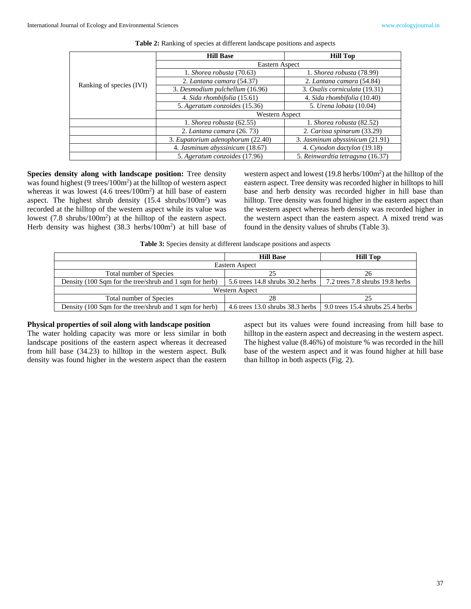|                          | <b>Hill Base</b>                  | <b>Hill Top</b>                  |  |
|--------------------------|-----------------------------------|----------------------------------|--|
|                          | Eastern Aspect                    |                                  |  |
|                          | 1. Shorea robusta (70.63)         | 1. Shorea robusta (78.99)        |  |
| Ranking of species (IVI) | 2. Lantana camara (54.37)         | 2. Lantana camara (54.84)        |  |
|                          | 3. Desmodium pulchellum (16.96)   | 3. Oxalis corniculata (19.31)    |  |
|                          | 4. Sida rhombifolia (15.61)       | 4. Sida rhombifolia (10.40)      |  |
|                          | 5. Ageratum conzoides (15.36)     | 5. Urena lobata (10.04)          |  |
|                          | Western Aspect                    |                                  |  |
|                          | 1. Shorea robusta (62.55)         | 1. Shorea robusta (82.52)        |  |
|                          | 2. Lantana camara (26, 73)        | 2. Carissa spinarum (33.29)      |  |
|                          | 3. Eupatorium adenophorum (22.40) | 3. Jasminum abyssinicum (21.91)  |  |
|                          | 4. Jasminum abyssinicum (18.67)   | 4. Cynodon dactylon (19.18)      |  |
|                          | 5. Ageratum conzoides (17.96)     | 5. Reinwardtia tetragyna (16.37) |  |

**Table 2:** Ranking of species at different landscape positions and aspects

**Species density along with landscape position:** Tree density was found highest (9 trees/100m<sup>2</sup>) at the hilltop of western aspect whereas it was lowest (4.6 trees/100m<sup>2</sup>) at hill base of eastern aspect. The highest shrub density  $(15.4 \text{ shrubs}/100 \text{m}^2)$  was recorded at the hilltop of the western aspect while its value was lowest (7.8 shrubs/100m<sup>2</sup>) at the hilltop of the eastern aspect. Herb density was highest  $(38.3 \text{ herbs}/100 \text{m}^2)$  at hill base of

western aspect and lowest  $(19.8 \text{ herbs}/100 \text{m}^2)$  at the hilltop of the eastern aspect. Tree density was recorded higher in hilltops to hill base and herb density was recorded higher in hill base than hilltop. Tree density was found higher in the eastern aspect than the western aspect whereas herb density was recorded higher in the western aspect than the eastern aspect. A mixed trend was found in the density values of shrubs (Table 3).

**Table 3:** Species density at different landscape positions and aspects

|                                                         | <b>Hill Base</b>                     | <b>Hill Top</b>                    |  |  |
|---------------------------------------------------------|--------------------------------------|------------------------------------|--|--|
| Eastern Aspect                                          |                                      |                                    |  |  |
| Total number of Species                                 | 25                                   | 26                                 |  |  |
| Density (100 Sqm for the tree/shrub and 1 sqm for herb) | 5.6 trees $14.8$ shrubs $30.2$ herbs | 7.2 trees 7.8 shrubs 19.8 herbs    |  |  |
| Western Aspect                                          |                                      |                                    |  |  |
| Total number of Species                                 | 28                                   | 25                                 |  |  |
| Density (100 Sqm for the tree/shrub and 1 sqm for herb) | 4.6 trees $13.0$ shrubs $38.3$ herbs | 9.0 trees 15.4 shrubs $25.4$ herbs |  |  |
|                                                         |                                      |                                    |  |  |

#### **Physical properties of soil along with landscape position**

The water holding capacity was more or less similar in both landscape positions of the eastern aspect whereas it decreased from hill base (34.23) to hilltop in the western aspect. Bulk density was found higher in the western aspect than the eastern

aspect but its values were found increasing from hill base to hilltop in the eastern aspect and decreasing in the western aspect. The highest value (8.46%) of moisture % was recorded in the hill base of the western aspect and it was found higher at hill base than hilltop in both aspects (Fig. 2).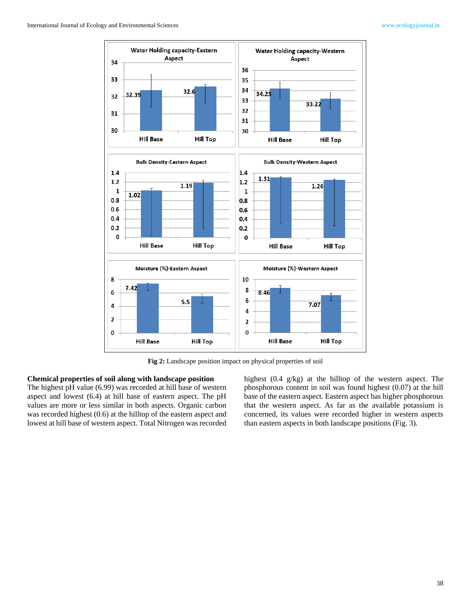

**Fig 2:** Landscape position impact on physical properties of soil

### **Chemical properties of soil along with landscape position**

The highest pH value (6.99) was recorded at hill base of western aspect and lowest (6.4) at hill base of eastern aspect. The pH values are more or less similar in both aspects. Organic carbon was recorded highest (0.6) at the hilltop of the eastern aspect and lowest at hill base of western aspect. Total Nitrogen was recorded highest (0.4 g/kg) at the hilltop of the western aspect. The phosphorous content in soil was found highest (0.07) at the hill base of the eastern aspect. Eastern aspect has higher phosphorous that the western aspect. As far as the available potassium is concerned, its values were recorded higher in western aspects than eastern aspects in both landscape positions (Fig. 3).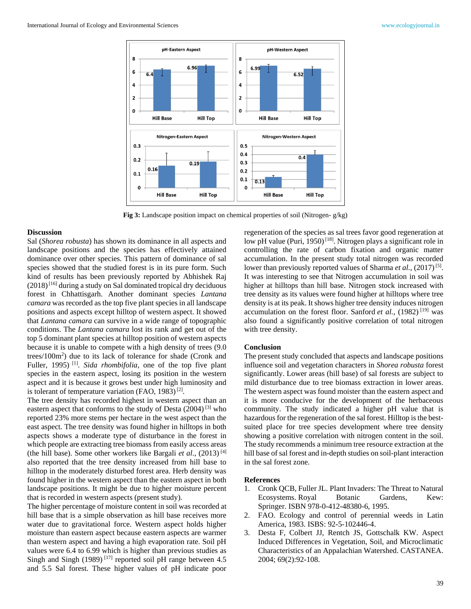

**Fig 3:** Landscape position impact on chemical properties of soil (Nitrogen- g/kg)

### **Discussion**

Sal (*Shorea robusta*) has shown its dominance in all aspects and landscape positions and the species has effectively attained dominance over other species. This pattern of dominance of sal species showed that the studied forest is in its pure form. Such kind of results has been previously reported by Abhishek Raj  $(2018)^{[16]}$  during a study on Sal dominated tropical dry deciduous forest in Chhattisgarh. Another dominant species *Lantana camara* was recorded as the top five plant species in all landscape positions and aspects except hilltop of western aspect. It showed that *Lantana camara* can survive in a wide range of topographic conditions. The *Lantana camara* lost its rank and get out of the top 5 dominant plant species at hilltop position of western aspects because it is unable to compete with a high density of trees (9.0 trees/100m<sup>2</sup> ) due to its lack of tolerance for shade (Cronk and Fuller, 1995)<sup>[1]</sup>. *Sida rhombifolia*, one of the top five plant species in the eastern aspect, losing its position in the western aspect and it is because it grows best under high luminosity and is tolerant of temperature variation (FAO, 1983)<sup>[2]</sup>.

The tree density has recorded highest in western aspect than an eastern aspect that conforms to the study of Desta (2004) [3] who reported 23% more stems per hectare in the west aspect than the east aspect. The tree density was found higher in hilltops in both aspects shows a moderate type of disturbance in the forest in which people are extracting tree biomass from easily access areas (the hill base). Some other workers like Bargali *et al.*,  $(2013)^{[4]}$ also reported that the tree density increased from hill base to hilltop in the moderately disturbed forest area. Herb density was found higher in the western aspect than the eastern aspect in both landscape positions. It might be due to higher moisture percent that is recorded in western aspects (present study).

The higher percentage of moisture content in soil was recorded at hill base that is a simple observation as hill base receives more water due to gravitational force. Western aspect holds higher moisture than eastern aspect because eastern aspects are warmer than western aspect and having a high evaporation rate. Soil pH values were 6.4 to 6.99 which is higher than previous studies as Singh and Singh  $(1989)$ <sup>[17]</sup> reported soil pH range between 4.5 and 5.5 Sal forest. These higher values of pH indicate poor

regeneration of the species as sal trees favor good regeneration at low pH value (Puri, 1950)<sup>[18]</sup>. Nitrogen plays a significant role in controlling the rate of carbon fixation and organic matter accumulation. In the present study total nitrogen was recorded lower than previously reported values of Sharma *et al.*, (2017)<sup>[5]</sup>. It was interesting to see that Nitrogen accumulation in soil was higher at hilltops than hill base. Nitrogen stock increased with tree density as its values were found higher at hilltops where tree density is at its peak. It shows higher tree density induces nitrogen accumulation on the forest floor. Sanford *et al.*, (1982)<sup>[19]</sup> was also found a significantly positive correlation of total nitrogen with tree density.

### **Conclusion**

The present study concluded that aspects and landscape positions influence soil and vegetation characters in *Shorea robusta* forest significantly. Lower areas (hill base) of sal forests are subject to mild disturbance due to tree biomass extraction in lower areas. The western aspect was found moister than the eastern aspect and it is more conducive for the development of the herbaceous community. The study indicated a higher pH value that is hazardous for the regeneration of the sal forest. Hilltop is the bestsuited place for tree species development where tree density showing a positive correlation with nitrogen content in the soil. The study recommends a minimum tree resource extraction at the hill base of sal forest and in-depth studies on soil-plant interaction in the sal forest zone.

#### **References**

- 1. Cronk QCB, Fuller JL. Plant Invaders: The Threat to Natural Ecosystems. Royal Botanic Gardens, Kew: Springer. ISBN 978-0-412-48380-6, 1995.
- 2. FAO. Ecology and control of perennial weeds in Latin America, 1983. ISBS: 92-5-102446-4.
- 3. Desta F, Colbert JJ, Rentch JS, Gottschalk KW. Aspect Induced Differences in Vegetation, Soil, and Microclimatic Characteristics of an Appalachian Watershed. CASTANEA. 2004; 69(2):92-108.